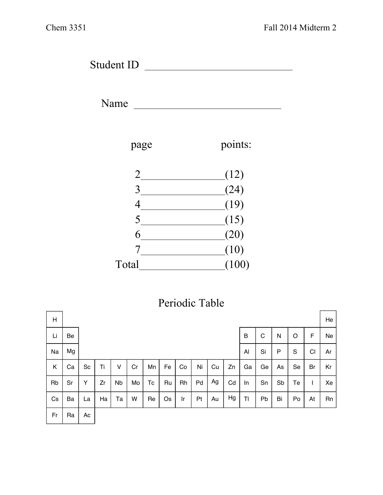Student ID

Name



## Periodic Table

| Η  |    |    |    |           |    |    |    |    |    |    |    |    |    |    |               |                | He |
|----|----|----|----|-----------|----|----|----|----|----|----|----|----|----|----|---------------|----------------|----|
| Li | Be |    |    |           |    |    |    |    |    |    |    | B  | C  | N  | O             | F              | Ne |
| Na | Mg |    |    |           |    |    |    |    |    |    |    | Al | Si | P  | ${\mathsf S}$ | C <sub>1</sub> | Ar |
| Κ  | Ca | Sc | Ti | v         | Cr | Mn | Fe | Co | Ni | Cu | Zn | Ga | Ge | As | Se            | Br             | Kr |
| Rb | Sr | Υ  | Zr | <b>Nb</b> | Mo | Tc | Ru | Rh | Pd | Ag | Cd | In | Sn | Sb | Te            |                | Xe |
| Cs | Ba | La | Ha | Ta        | W  | Re | Os | Ir | Pt | Au | Hg | TI | Pb | Bi | Po            | At             | Rn |
| Fr | Ra | Ac |    |           |    |    |    |    |    |    |    |    |    |    |               |                |    |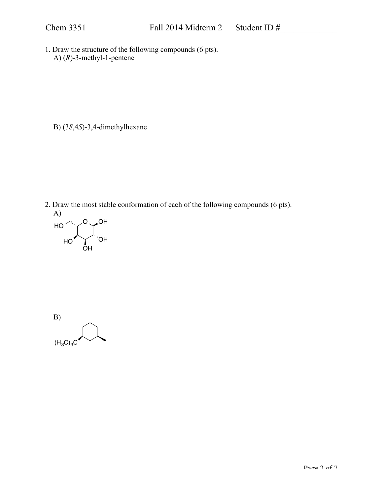1. Draw the structure of the following compounds (6 pts). A) (*R*)-3-methyl-1-pentene

B) (3*S*,4*S*)-3,4-dimethylhexane

2. Draw the most stable conformation of each of the following compounds (6 pts). A) O、OH HO



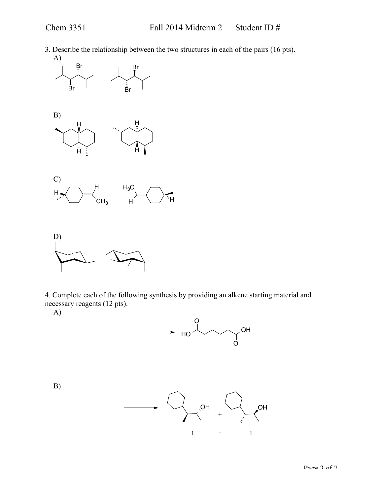3. Describe the relationship between the two structures in each of the pairs (16 pts).







4. Complete each of the following synthesis by providing an alkene starting material and necessary reagents (12 pts).

A)

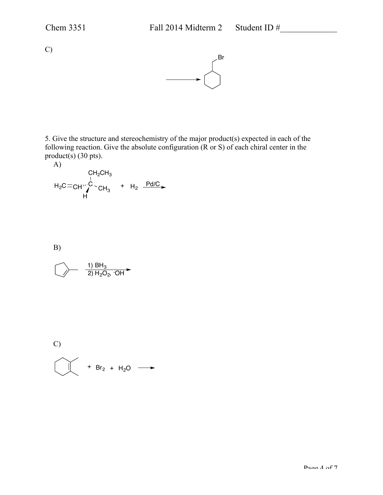C)



5. Give the structure and stereochemistry of the major product(s) expected in each of the following reaction. Give the absolute configuration  $(R \text{ or } S)$  of each chiral center in the product(s) (30 pts).

A) C CH2CH3 CH3 CH H H2C + H2 Pd/C

B)

$$
\bigcirc \longrightarrow \quad \frac{1) BH_3}{2) H_2O_2, \, \text{OH}^{\blacktriangleright}
$$

C)  

$$
+ Br_2 + H_2O \longrightarrow
$$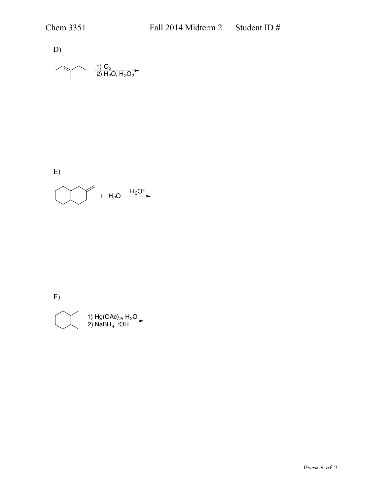D) <u>1) O<sub>3</sub></u> 2) H<sub>2</sub>O, H<sub>2</sub>O<sub>2</sub>

E)  

$$
+ H_2O \xrightarrow{H_3O^+}
$$

F)

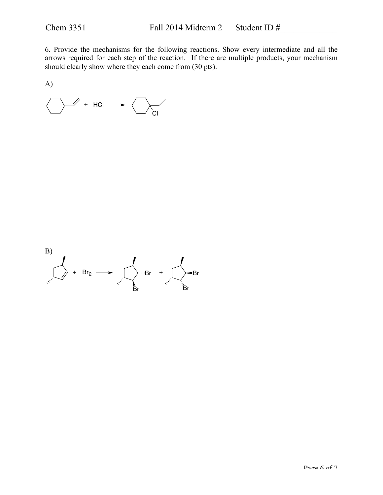6. Provide the mechanisms for the following reactions. Show every intermediate and all the arrows required for each step of the reaction. If there are multiple products, your mechanism should clearly show where they each come from (30 pts).

A)